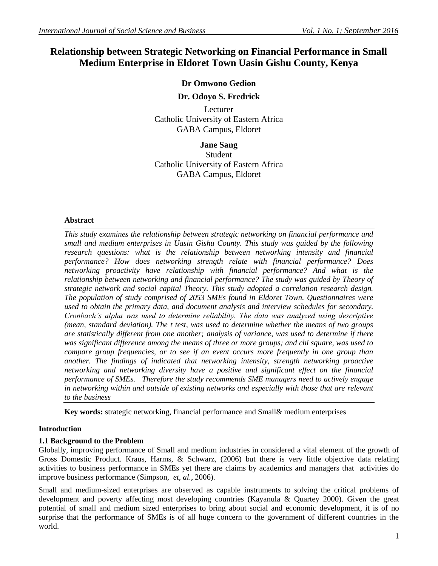# **Relationship between Strategic Networking on Financial Performance in Small Medium Enterprise in Eldoret Town Uasin Gishu County, Kenya**

# **Dr Omwono Gedion**

## **Dr. Odoyo S. Fredrick**

Lecturer Catholic University of Eastern Africa GABA Campus, Eldoret

#### **Jane Sang**

Student Catholic University of Eastern Africa GABA Campus, Eldoret

## **Abstract**

*This study examines the relationship between strategic networking on financial performance and small and medium enterprises in Uasin Gishu County. This study was guided by the following research questions: what is the relationship between networking intensity and financial performance? How does networking strength relate with financial performance? Does networking proactivity have relationship with financial performance? And what is the relationship between networking and financial performance? The study was guided by Theory of strategic network and social capital Theory. This study adopted a correlation research design. The population of study comprised of 2053 SMEs found in Eldoret Town. Questionnaires were used to obtain the primary data, and document analysis and interview schedules for secondary. Cronbach's alpha was used to determine reliability. The data was analyzed using descriptive (mean, standard deviation). The t test, was used to determine whether the means of two groups are statistically different from one another; analysis of variance, was used to determine if there was significant difference among the means of three or more groups; and chi square, was used to compare group frequencies, or to see if an event occurs more frequently in one group than another. The findings of indicated that networking intensity, strength networking proactive networking and networking diversity have a positive and significant effect on the financial performance of SMEs. Therefore the study recommends SME managers need to actively engage in networking within and outside of existing networks and especially with those that are relevant to the business*

**Key words:** strategic networking, financial performance and Small& medium enterprises

# **Introduction**

# **1.1 Background to the Problem**

Globally, improving performance of Small and medium industries in considered a vital element of the growth of Gross Domestic Product. Kraus, Harms, & Schwarz, (2006) but there is very little objective data relating activities to business performance in SMEs yet there are claims by academics and managers that activities do improve business performance (Simpson, *et, al.*, 2006).

Small and medium-sized enterprises are observed as capable instruments to solving the critical problems of development and poverty affecting most developing countries (Kayanula & Quartey 2000). Given the great potential of small and medium sized enterprises to bring about social and economic development, it is of no surprise that the performance of SMEs is of all huge concern to the government of different countries in the world.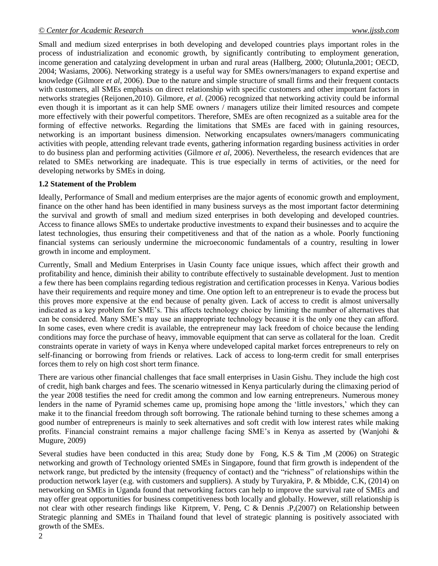Small and medium sized enterprises in both developing and developed countries plays important roles in the process of industrialization and economic growth, by significantly contributing to employment generation, income generation and catalyzing development in urban and rural areas (Hallberg, 2000; Olutunla,2001; OECD, 2004; Wasiams, 2006). Networking strategy is a useful way for SMEs owners/managers to expand expertise and knowledge (Gilmore *et al*, 2006). Due to the nature and simple structure of small firms and their frequent contacts with customers, all SMEs emphasis on direct relationship with specific customers and other important factors in networks strategies (Reijonen,2010). Gilmore, *et al*. (2006) recognized that networking activity could be informal even though it is important as it can help SME owners / managers utilize their limited resources and compete more effectively with their powerful competitors. Therefore, SMEs are often recognized as a suitable area for the forming of effective networks. Regarding the limitations that SMEs are faced with in gaining resources, networking is an important business dimension. Networking encapsulates owners/managers communicating activities with people, attending relevant trade events, gathering information regarding business activities in order to do business plan and performing activities (Gilmore *et al*, 2006). Nevertheless, the research evidences that are related to SMEs networking are inadequate. This is true especially in terms of activities, or the need for developing networks by SMEs in doing.

#### **1.2 Statement of the Problem**

Ideally, Performance of Small and medium enterprises are the major agents of economic growth and employment, finance on the other hand has been identified in many business surveys as the most important factor determining the survival and growth of small and medium sized enterprises in both developing and developed countries. Access to finance allows SMEs to undertake productive investments to expand their businesses and to acquire the latest technologies, thus ensuring their competitiveness and that of the nation as a whole. Poorly functioning financial systems can seriously undermine the microeconomic fundamentals of a country, resulting in lower growth in income and employment.

Currently, Small and Medium Enterprises in Uasin County face unique issues, which affect their growth and profitability and hence, diminish their ability to contribute effectively to sustainable development. Just to mention a few there has been complains regarding tedious registration and certification processes in Kenya. Various bodies have their requirements and require money and time. One option left to an entrepreneur is to evade the process but this proves more expensive at the end because of penalty given. Lack of access to credit is almost universally indicated as a key problem for SME's. This affects technology choice by limiting the number of alternatives that can be considered. Many SME's may use an inappropriate technology because it is the only one they can afford. In some cases, even where credit is available, the entrepreneur may lack freedom of choice because the lending conditions may force the purchase of heavy, immovable equipment that can serve as collateral for the loan. Credit constraints operate in variety of ways in Kenya where undeveloped capital market forces entrepreneurs to rely on self-financing or borrowing from friends or relatives. Lack of access to long-term credit for small enterprises forces them to rely on high cost short term finance.

There are various other financial challenges that face small enterprises in Uasin Gishu. They include the high cost of credit, high bank charges and fees. The scenario witnessed in Kenya particularly during the climaxing period of the year 2008 testifies the need for credit among the common and low earning entrepreneurs. Numerous money lenders in the name of Pyramid schemes came up, promising hope among the 'little investors,' which they can make it to the financial freedom through soft borrowing. The rationale behind turning to these schemes among a good number of entrepreneurs is mainly to seek alternatives and soft credit with low interest rates while making profits. Financial constraint remains a major challenge facing SME's in Kenya as asserted by (Wanjohi & Mugure, 2009)

Several studies have been conducted in this area; Study done by Fong, K.S & Tim ,M (2006) on Strategic networking and growth of Technology oriented SMEs in Singapore, found that firm growth is independent of the network range, but predicted by the intensity (frequency of contact) and the "richness" of relationships within the production network layer (e.g. with customers and suppliers). A study by Turyakira, P. & Mbidde, C.K, (2014) on networking on SMEs in Uganda found that networking factors can help to improve the survival rate of SMEs and may offer great opportunities for business competitiveness both locally and globally. However, still relationship is not clear with other research findings like Kitprem, V. Peng, C & Dennis .P,(2007) on Relationship between Strategic planning and SMEs in Thailand found that level of strategic planning is positively associated with growth of the SMEs.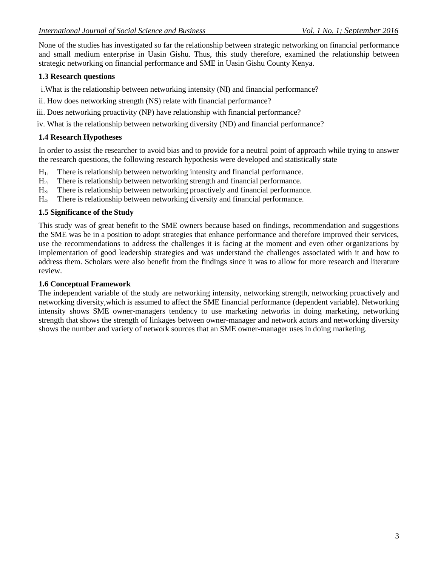None of the studies has investigated so far the relationship between strategic networking on financial performance and small medium enterprise in Uasin Gishu. Thus, this study therefore, examined the relationship between strategic networking on financial performance and SME in Uasin Gishu County Kenya.

# **1.3 Research questions**

i.What is the relationship between networking intensity (NI) and financial performance?

- ii. How does networking strength (NS) relate with financial performance?
- iii. Does networking proactivity (NP) have relationship with financial performance?

iv. What is the relationship between networking diversity (ND) and financial performance?

# **1.4 Research Hypotheses**

In order to assist the researcher to avoid bias and to provide for a neutral point of approach while trying to answer the research questions, the following research hypothesis were developed and statistically state

- H1: There is relationship between networking intensity and financial performance.
- H2: There is relationship between networking strength and financial performance.
- H3: There is relationship between networking proactively and financial performance.
- H4: There is relationship between networking diversity and financial performance.

## **1.5 Significance of the Study**

This study was of great benefit to the SME owners because based on findings, recommendation and suggestions the SME was be in a position to adopt strategies that enhance performance and therefore improved their services, use the recommendations to address the challenges it is facing at the moment and even other organizations by implementation of good leadership strategies and was understand the challenges associated with it and how to address them. Scholars were also benefit from the findings since it was to allow for more research and literature review.

#### **1.6 Conceptual Framework**

The independent variable of the study are networking intensity, networking strength, networking proactively and networking diversity,which is assumed to affect the SME financial performance (dependent variable). Networking intensity shows SME owner-managers tendency to use marketing networks in doing marketing, networking strength that shows the strength of linkages between owner-manager and network actors and networking diversity shows the number and variety of network sources that an SME owner-manager uses in doing marketing.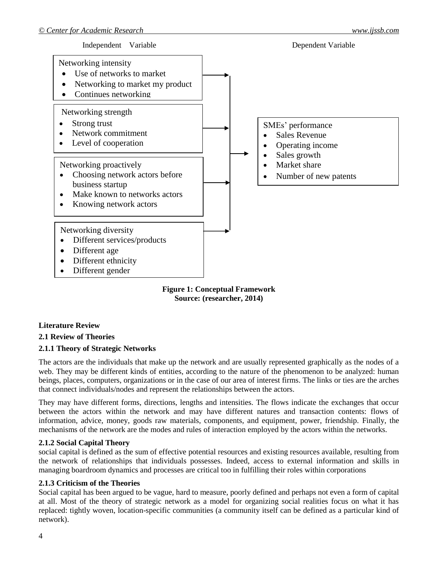

**Source: (researcher, 2014)**

# **Literature Review**

# **2.1 Review of Theories**

# **2.1.1 Theory of Strategic Networks**

The actors are the individuals that make up the network and are usually represented graphically as the nodes of a web. They may be different kinds of entities, according to the nature of the phenomenon to be analyzed: human beings, places, computers, organizations or in the case of our area of interest firms. The links or ties are the arches that connect individuals/nodes and represent the relationships between the actors.

They may have different forms, directions, lengths and intensities. The flows indicate the exchanges that occur between the actors within the network and may have different natures and transaction contents: flows of information, advice, money, goods raw materials, components, and equipment, power, friendship. Finally, the mechanisms of the network are the modes and rules of interaction employed by the actors within the networks.

#### **2.1.2 Social Capital Theory**

social capital is defined as the sum of effective potential resources and existing resources available, resulting from the network of relationships that individuals possesses. Indeed, access to external information and skills in managing boardroom dynamics and processes are critical too in fulfilling their roles within corporations

#### **2.1.3 Criticism of the Theories**

Social capital has been argued to be vague, hard to measure, poorly defined and perhaps not even a form of capital at all. Most of the theory of strategic network as a model for organizing social realities focus on what it has replaced: tightly woven, location-specific communities (a community itself can be defined as a particular kind of network).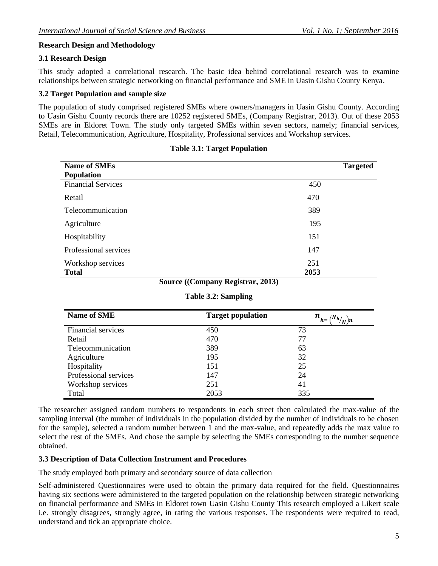# **Research Design and Methodology**

#### **3.1 Research Design**

This study adopted a correlational research. The basic idea behind correlational research was to examine relationships between strategic networking on financial performance and SME in Uasin Gishu County Kenya.

#### **3.2 Target Population and sample size**

The population of study comprised registered SMEs where owners/managers in Uasin Gishu County. According to Uasin Gishu County records there are 10252 registered SMEs, (Company Registrar, 2013). Out of these 2053 SMEs are in Eldoret Town. The study only targeted SMEs within seven sectors, namely; financial services, Retail, Telecommunication, Agriculture, Hospitality, Professional services and Workshop services.

| <b>Name of SMEs</b>       | <b>Targeted</b> |
|---------------------------|-----------------|
| <b>Population</b>         |                 |
| <b>Financial Services</b> | 450             |
| Retail                    | 470             |
| Telecommunication         | 389             |
| Agriculture               | 195             |
| Hospitability             | 151             |
| Professional services     | 147             |
| Workshop services         | 251             |
| <b>Total</b>              | 2053            |

|  | <b>Table 3.1: Target Population</b> |  |
|--|-------------------------------------|--|
|--|-------------------------------------|--|

# **Source ((Company Registrar, 2013)**

#### **Table 3.2: Sampling**

| <b>Name of SME</b>    | <b>Target population</b> | $n_{h=1}$<br>$\frac{d^{N}h}{N}$ |
|-----------------------|--------------------------|---------------------------------|
| Financial services    | 450                      | 73                              |
| Retail                | 470                      | 77                              |
| Telecommunication     | 389                      | 63                              |
| Agriculture           | 195                      | 32                              |
| Hospitality           | 151                      | 25                              |
| Professional services | 147                      | 24                              |
| Workshop services     | 251                      | 41                              |
| Total                 | 2053                     | 335                             |

The researcher assigned random numbers to respondents in each street then calculated the max-value of the sampling interval (the number of individuals in the population divided by the number of individuals to be chosen for the sample), selected a random number between 1 and the max-value, and repeatedly adds the max value to select the rest of the SMEs. And chose the sample by selecting the SMEs corresponding to the number sequence obtained.

#### **3.3 Description of Data Collection Instrument and Procedures**

The study employed both primary and secondary source of data collection

Self-administered Questionnaires were used to obtain the primary data required for the field. Questionnaires having six sections were administered to the targeted population on the relationship between strategic networking on financial performance and SMEs in Eldoret town Uasin Gishu County This research employed a Likert scale i.e. strongly disagrees, strongly agree, in rating the various responses. The respondents were required to read, understand and tick an appropriate choice.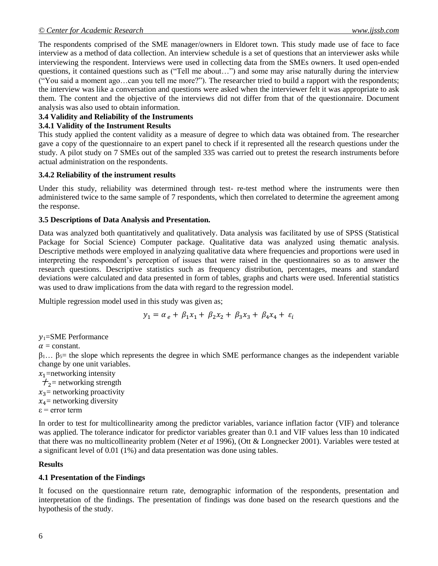The respondents comprised of the SME manager/owners in Eldoret town. This study made use of face to face interview as a method of data collection. An interview schedule is a set of questions that an interviewer asks while interviewing the respondent. Interviews were used in collecting data from the SMEs owners. It used open-ended questions, it contained questions such as ("Tell me about…") and some may arise naturally during the interview ("You said a moment ago…can you tell me more?"). The researcher tried to build a rapport with the respondents; the interview was like a conversation and questions were asked when the interviewer felt it was appropriate to ask them. The content and the objective of the interviews did not differ from that of the questionnaire. Document analysis was also used to obtain information.

# **3.4 Validity and Reliability of the Instruments**

## **3.4.1 Validity of the Instrument Results**

This study applied the content validity as a measure of degree to which data was obtained from. The researcher gave a copy of the questionnaire to an expert panel to check if it represented all the research questions under the study. A pilot study on 7 SMEs out of the sampled 335 was carried out to pretest the research instruments before actual administration on the respondents.

#### **3.4.2 Reliability of the instrument results**

Under this study, reliability was determined through test- re-test method where the instruments were then administered twice to the same sample of 7 respondents, which then correlated to determine the agreement among the response.

## **3.5 Descriptions of Data Analysis and Presentation.**

Data was analyzed both quantitatively and qualitatively. Data analysis was facilitated by use of SPSS (Statistical Package for Social Science) Computer package. Qualitative data was analyzed using thematic analysis. Descriptive methods were employed in analyzing qualitative data where frequencies and proportions were used in interpreting the respondent's perception of issues that were raised in the questionnaires so as to answer the research questions. Descriptive statistics such as frequency distribution, percentages, means and standard deviations were calculated and data presented in form of tables, graphs and charts were used. Inferential statistics was used to draw implications from the data with regard to the regression model.

Multiple regression model used in this study was given as;

$$
y_1 = \alpha_e + \beta_1 x_1 + \beta_2 x_2 + \beta_3 x_3 + \beta_4 x_4 + \varepsilon_i
$$

 $y_1$ =SME Performance

 $\alpha$  = constant.

 $\beta_1... \beta_5$  = the slope which represents the degree in which SME performance changes as the independent variable change by one unit variables.

 $x_1$ =networking intensity  $\tau_2$ = networking strength  $x_3$ = networking proactivity  $x_4$ = networking diversity

 $\varepsilon$  = error term

In order to test for multicollinearity among the predictor variables, variance inflation factor (VIF) and tolerance was applied. The tolerance indicator for predictor variables greater than 0.1 and VIF values less than 10 indicated that there was no multicollinearity problem (Neter *et al* 1996), (Ott & Longnecker 2001). Variables were tested at a significant level of 0.01 (1%) and data presentation was done using tables.

#### **Results**

# **4.1 Presentation of the Findings**

It focused on the questionnaire return rate, demographic information of the respondents, presentation and interpretation of the findings. The presentation of findings was done based on the research questions and the hypothesis of the study.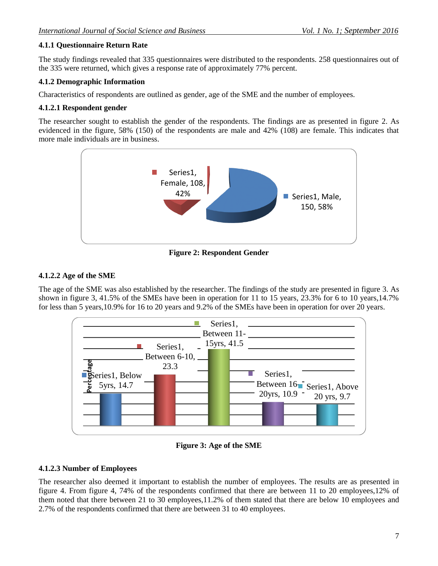# **4.1.1 Questionnaire Return Rate**

The study findings revealed that 335 questionnaires were distributed to the respondents. 258 questionnaires out of the 335 were returned, which gives a response rate of approximately 77% percent.

## **4.1.2 Demographic Information**

Characteristics of respondents are outlined as gender, age of the SME and the number of employees.

## **4.1.2.1 Respondent gender**

The researcher sought to establish the gender of the respondents. The findings are as presented in figure 2. As evidenced in the figure, 58% (150) of the respondents are male and 42% (108) are female. This indicates that more male individuals are in business.



**Figure 2: Respondent Gender**

## **4.1.2.2 Age of the SME**

The age of the SME was also established by the researcher. The findings of the study are presented in figure 3. As shown in figure 3, 41.5% of the SMEs have been in operation for 11 to 15 years, 23.3% for 6 to 10 years,14.7% for less than 5 years,10.9% for 16 to 20 years and 9.2% of the SMEs have been in operation for over 20 years.



**Figure 3: Age of the SME**

#### **4.1.2.3 Number of Employees**

The researcher also deemed it important to establish the number of employees. The results are as presented in figure 4. From figure 4, 74% of the respondents confirmed that there are between 11 to 20 employees,12% of them noted that there between 21 to 30 employees,11.2% of them stated that there are below 10 employees and 2.7% of the respondents confirmed that there are between 31 to 40 employees.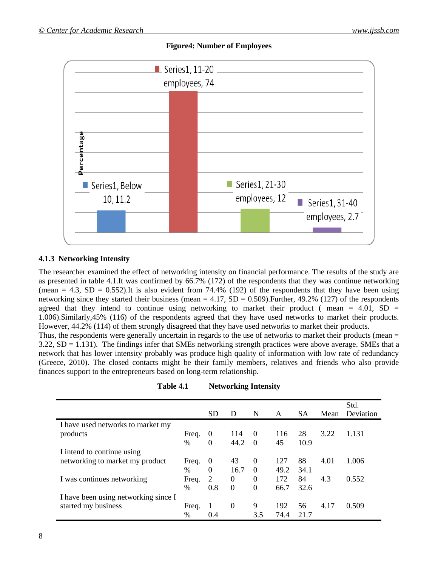# **Figure4: Number of Employees**



## **4.1.3 Networking Intensity**

The researcher examined the effect of networking intensity on financial performance. The results of the study are as presented in table 4.1.It was confirmed by 66.7% (172) of the respondents that they was continue networking (mean = 4.3, SD = 0.552). It is also evident from 74.4% (192) of the respondents that they have been using networking since they started their business (mean  $= 4.17$ , SD  $= 0.509$ ). Further, 49.2% (127) of the respondents agreed that they intend to continue using networking to market their product (mean  $= 4.01$ , SD  $=$ 1.006).Similarly,45% (116) of the respondents agreed that they have used networks to market their products. However, 44.2% (114) of them strongly disagreed that they have used networks to market their products.

Thus, the respondents were generally uncertain in regards to the use of networks to market their products (mean = 3.22, SD = 1.131). The findings infer that SMEs networking strength practices were above average. SMEs that a network that has lower intensity probably was produce high quality of information with low rate of redundancy (Greece, 2010). The closed contacts might be their family members, relatives and friends who also provide finances support to the entrepreneurs based on long-term relationship.

**Table 4.1 Networking Intensity**

|                                      |               | <b>SD</b>      | D        | N        | A    | <b>SA</b> | Mean | Std.<br>Deviation |
|--------------------------------------|---------------|----------------|----------|----------|------|-----------|------|-------------------|
| I have used networks to market my    |               |                |          |          |      |           |      |                   |
| products                             | Freq.         | $\theta$       | 114      | $\Omega$ | 116  | 28        | 3.22 | 1.131             |
|                                      | $\%$          | $\theta$       | 44.2     | $\Omega$ | 45   | 10.9      |      |                   |
| I intend to continue using           |               |                |          |          |      |           |      |                   |
| networking to market my product      | Freq.         | $\theta$       | 43       | $\Omega$ | 127  | 88        | 4.01 | 1.006             |
|                                      | $\frac{0}{0}$ | $\Omega$       | 16.7     | $\Omega$ | 49.2 | 34.1      |      |                   |
| I was continues networking           | Freq.         | $\overline{2}$ | $\theta$ | $\theta$ | 172  | 84        | 4.3  | 0.552             |
|                                      | $\frac{0}{0}$ | 0.8            | $\Omega$ | $\Omega$ | 66.7 | 32.6      |      |                   |
| I have been using networking since I |               |                |          |          |      |           |      |                   |
| started my business                  | Freq.         | 1              | 0        | 9        | 192  | 56        | 4.17 | 0.509             |
|                                      | $\frac{0}{0}$ | 0.4            |          | 3.5      | 74.4 | 21.7      |      |                   |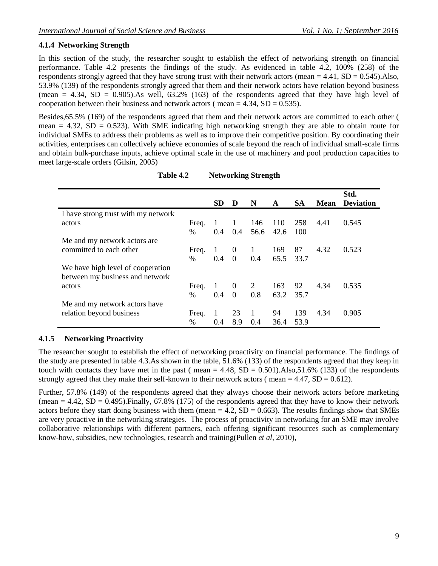# **4.1.4 Networking Strength**

In this section of the study, the researcher sought to establish the effect of networking strength on financial performance. Table 4.2 presents the findings of the study. As evidenced in table 4.2, 100% (258) of the respondents strongly agreed that they have strong trust with their network actors (mean  $= 4.41$ , SD  $= 0.545$ ). Also, 53.9% (139) of the respondents strongly agreed that them and their network actors have relation beyond business (mean = 4.34,  $SD = 0.905$ ). As well, 63.2% (163) of the respondents agreed that they have high level of cooperation between their business and network actors ( $mean = 4.34$ ,  $SD = 0.535$ ).

Besides,65.5% (169) of the respondents agreed that them and their network actors are committed to each other ( mean  $= 4.32$ ,  $SD = 0.523$ . With SME indicating high networking strength they are able to obtain route for individual SMEs to address their problems as well as to improve their competitive position. By coordinating their activities, enterprises can collectively achieve economies of scale beyond the reach of individual small-scale firms and obtain bulk-purchase inputs, achieve optimal scale in the use of machinery and pool production capacities to meet large-scale orders (Gilsin, 2005)

|                                                                      |               | <b>SD</b>      | D              | N              | A           | <b>SA</b>  | Mean | Std.<br><b>Deviation</b> |
|----------------------------------------------------------------------|---------------|----------------|----------------|----------------|-------------|------------|------|--------------------------|
| I have strong trust with my network                                  |               |                |                |                |             |            |      |                          |
| actors                                                               | Freq.<br>$\%$ | -1<br>0.4      | 1<br>0.4       | 146<br>56.6    | 110<br>42.6 | 258<br>100 | 4.41 | 0.545                    |
| Me and my network actors are.                                        |               |                |                |                |             |            |      |                          |
| committed to each other                                              | Freq.         | $\overline{1}$ | $\theta$       | $\overline{1}$ | 169         | 87         | 4.32 | 0.523                    |
|                                                                      | $\%$          | 0.4            | $\Omega$       | $0.4^{\circ}$  | 65.5        | 33.7       |      |                          |
| We have high level of cooperation<br>between my business and network |               |                |                |                |             |            |      |                          |
| actors                                                               | Freq.         | -1             | $\overline{0}$ | 2              | 163         | 92         | 4.34 | 0.535                    |
|                                                                      | $\%$          | 0.4            | $\Omega$       | 0.8            | 63.2        | 35.7       |      |                          |
| Me and my network actors have                                        |               |                |                |                |             |            |      |                          |
| relation beyond business                                             | Freq.         | 1              | 23             | 1              | 94          | 139        | 4.34 | 0.905                    |
|                                                                      | $\frac{0}{0}$ | 0.4            | 8.9            | 0.4            | 36.4        | 53.9       |      |                          |

**Table 4.2 Networking Strength**

# **4.1.5 Networking Proactivity**

The researcher sought to establish the effect of networking proactivity on financial performance. The findings of the study are presented in table 4.3.As shown in the table, 51.6% (133) of the respondents agreed that they keep in touch with contacts they have met in the past ( $mean = 4.48$ ,  $SD = 0.501$ ).Also,51.6% (133) of the respondents strongly agreed that they make their self-known to their network actors (mean  $= 4.47$ , SD  $= 0.612$ ).

Further, 57.8% (149) of the respondents agreed that they always choose their network actors before marketing (mean  $= 4.42$ , SD  $= 0.495$ ). Finally, 67.8% (175) of the respondents agreed that they have to know their network actors before they start doing business with them (mean  $= 4.2$ , SD  $= 0.663$ ). The results findings show that SMEs are very proactive in the networking strategies. The process of proactivity in networking for an SME may involve collaborative relationships with different partners, each offering significant resources such as complementary know-how, subsidies, new technologies, research and training(Pullen *et al,* 2010),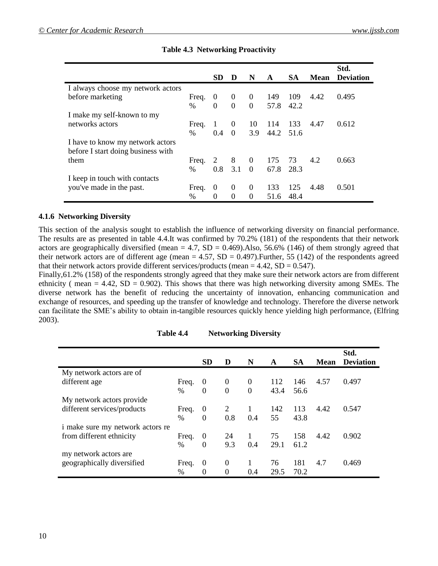|                                    |               |                |                |                |      |           |      | Std.             |
|------------------------------------|---------------|----------------|----------------|----------------|------|-----------|------|------------------|
|                                    |               | <b>SD</b>      | D              | N              | A    | <b>SA</b> | Mean | <b>Deviation</b> |
| I always choose my network actors  |               |                |                |                |      |           |      |                  |
| before marketing                   | Freq.         | $\overline{0}$ | $\bf{0}$       | $\theta$       | 149  | 109       | 4.42 | 0.495            |
|                                    | $\frac{0}{0}$ | $\Omega$       | $\Omega$       | $\overline{0}$ | 57.8 | 42.2      |      |                  |
| I make my self-known to my         |               |                |                |                |      |           |      |                  |
| networks actors                    | Freq.         | -1             | $\theta$       | 10             | 114  | 133       | 4.47 | 0.612            |
|                                    | $\%$          | 0.4            | $\Omega$       | 3.9            | 44.2 | 51.6      |      |                  |
| I have to know my network actors   |               |                |                |                |      |           |      |                  |
| before I start doing business with |               |                |                |                |      |           |      |                  |
| them                               | Freq. $2 \ 8$ |                |                | $\overline{0}$ | 175  | 73        | 4.2  | 0.663            |
|                                    | $\frac{0}{0}$ | 0.8            | 3.1            | $\Omega$       | 67.8 | 28.3      |      |                  |
| I keep in touch with contacts      |               |                |                |                |      |           |      |                  |
| you've made in the past.           | Freq.         | $\theta$       | $\overline{0}$ | $\theta$       | 133  | 125       | 4.48 | 0.501            |
|                                    | $\%$          | $\Omega$       | $\Omega$       | $\theta$       | 51.6 | 48.4      |      |                  |

# **Table 4.3 Networking Proactivity**

## **4.1.6 Networking Diversity**

This section of the analysis sought to establish the influence of networking diversity on financial performance. The results are as presented in table 4.4.It was confirmed by 70.2% (181) of the respondents that their network actors are geographically diversified (mean  $= 4.7$ , SD  $= 0.469$ ).Also, 56.6% (146) of them strongly agreed that their network actors are of different age (mean  $= 4.57$ , SD  $= 0.497$ ). Further, 55 (142) of the respondents agreed that their network actors provide different services/products (mean =  $4.42$ , SD = 0.547).

Finally,  $61.2\%$  (158) of the respondents strongly agreed that they make sure their network actors are from different ethnicity ( mean  $= 4.42$ , SD  $= 0.902$ ). This shows that there was high networking diversity among SMEs. The diverse network has the benefit of reducing the uncertainty of innovation, enhancing communication and exchange of resources, and speeding up the transfer of knowledge and technology. Therefore the diverse network can facilitate the SME's ability to obtain in-tangible resources quickly hence yielding high performance, (Elfring 2003).

|                                  |               | <b>SD</b>                  | D                          | N                    | A           | <b>SA</b>   | <b>Mean</b> | Std.<br><b>Deviation</b> |
|----------------------------------|---------------|----------------------------|----------------------------|----------------------|-------------|-------------|-------------|--------------------------|
| My network actors are of         |               |                            |                            |                      |             |             |             |                          |
| different age                    | Freq.<br>%    | $\overline{0}$<br>$\Omega$ | $\overline{0}$<br>$\theta$ | $\theta$<br>$\theta$ | 112<br>43.4 | 146<br>56.6 | 4.57        | 0.497                    |
| My network actors provide        |               |                            |                            |                      |             |             |             |                          |
| different services/products      | Freq.         | $\boldsymbol{0}$           | 2                          |                      | 142         | 113         | 4.42        | 0.547                    |
|                                  | $\%$          | $\Omega$                   | 0.8                        | 0.4                  | 55          | 43.8        |             |                          |
| i make sure my network actors re |               |                            |                            |                      |             |             |             |                          |
| from different ethnicity         | Freq.         | $\overline{0}$             | 24                         | 1                    | 75          | 158         | 4.42        | 0.902                    |
|                                  | $\frac{0}{0}$ | $\Omega$                   | 9.3                        | 0.4                  | 29.1        | 61.2        |             |                          |
| my network actors are            |               |                            |                            |                      |             |             |             |                          |
| geographically diversified       | Freq.         | $\theta$                   | 0                          | 1                    | 76          | 181         | 4.7         | 0.469                    |
|                                  | $\%$          | $\Omega$                   | $\theta$                   | 0.4                  | 29.5        | 70.2        |             |                          |

**Table 4.4 Networking Diversity**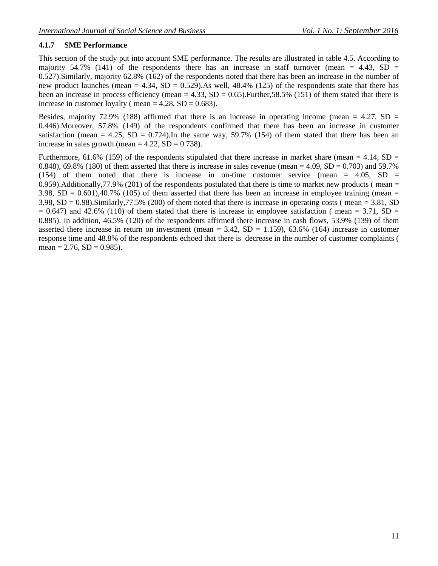# **4.1.7 SME Performance**

This section of the study put into account SME performance. The results are illustrated in table 4.5. According to majority 54.7% (141) of the respondents there has an increase in staff turnover (mean = 4.43,  $SD =$ 0.527).Similarly, majority 62.8% (162) of the respondents noted that there has been an increase in the number of new product launches (mean  $= 4.34$ , SD  $= 0.529$ ). As well, 48.4% (125) of the respondents state that there has been an increase in process efficiency (mean = 4.33,  $SD = 0.65$ ). Further, 58.5% (151) of them stated that there is increase in customer loyalty ( mean  $= 4.28$ , SD  $= 0.683$ ).

Besides, majority 72.9% (188) affirmed that there is an increase in operating income (mean  $= 4.27$ , SD  $=$ 0.446).Moreover, 57.8% (149) of the respondents confirmed that there has been an increase in customer satisfaction (mean = 4.25,  $SD = 0.724$ ). In the same way, 59.7% (154) of them stated that there has been an increase in sales growth (mean  $= 4.22$ , SD  $= 0.738$ ).

Furthermore, 61.6% (159) of the respondents stipulated that there increase in market share (mean  $= 4.14$ , SD  $=$ 0.848), 69.8% (180) of them asserted that there is increase in sales revenue (mean  $= 4.09$ , SD  $= 0.703$ ) and 59.7% (154) of them noted that there is increase in on-time customer service (mean  $= 4.05$ , SD  $=$ 0.959). Additionally, 77.9% (201) of the respondents postulated that there is time to market new products (mean  $=$ 3.98,  $SD = 0.601$ , 40.7% (105) of them asserted that there has been an increase in employee training (mean = 3.98,  $SD = 0.98$ ). Similarly, 77.5% (200) of them noted that there is increase in operating costs (mean = 3.81, SD  $= 0.647$ ) and 42.6% (110) of them stated that there is increase in employee satisfaction ( mean  $= 3.71$ , SD  $=$ 0.885). In addition, 46.5% (120) of the respondents affirmed there increase in cash flows, 53.9% (139) of them asserted there increase in return on investment (mean =  $3.42$ , SD =  $1.159$ ),  $63.6\%$  (164) increase in customer response time and 48.8% of the respondents echoed that there is decrease in the number of customer complaints ( mean =  $2.76$ , SD = 0.985).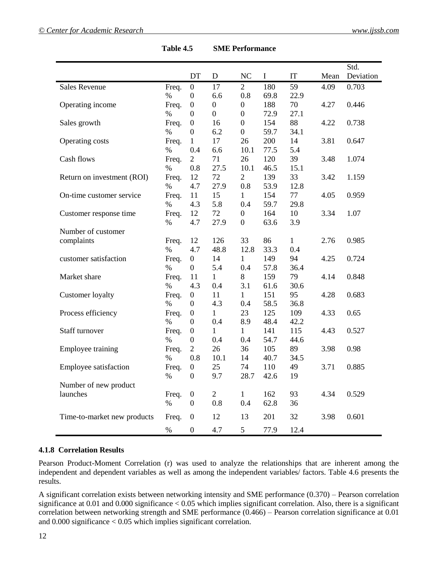|                             |       |                  |                  |                  |          |              |      | Std.      |
|-----------------------------|-------|------------------|------------------|------------------|----------|--------------|------|-----------|
|                             |       | DT               | D                | NC               | $\bf{I}$ | IT           | Mean | Deviation |
| <b>Sales Revenue</b>        | Freq. | $\boldsymbol{0}$ | 17               | $\overline{2}$   | 180      | 59           | 4.09 | 0.703     |
|                             | %     | $\boldsymbol{0}$ | 6.6              | 0.8              | 69.8     | 22.9         |      |           |
| Operating income            | Freq. | $\boldsymbol{0}$ | $\boldsymbol{0}$ | $\boldsymbol{0}$ | 188      | 70           | 4.27 | 0.446     |
|                             | %     | $\boldsymbol{0}$ | $\boldsymbol{0}$ | $\boldsymbol{0}$ | 72.9     | 27.1         |      |           |
| Sales growth                | Freq. | $\boldsymbol{0}$ | 16               | $\boldsymbol{0}$ | 154      | 88           | 4.22 | 0.738     |
|                             | %     | $\boldsymbol{0}$ | 6.2              | $\boldsymbol{0}$ | 59.7     | 34.1         |      |           |
| Operating costs             | Freq. | $\mathbf{1}$     | 17               | 26               | 200      | 14           | 3.81 | 0.647     |
|                             | $\%$  | 0.4              | 6.6              | 10.1             | 77.5     | 5.4          |      |           |
| Cash flows                  | Freq. | $\mathfrak{2}$   | 71               | 26               | 120      | 39           | 3.48 | 1.074     |
|                             | $\%$  | 0.8              | 27.5             | 10.1             | 46.5     | 15.1         |      |           |
| Return on investment (ROI)  | Freq. | 12               | 72               | $\overline{2}$   | 139      | 33           | 3.42 | 1.159     |
|                             | %     | 4.7              | 27.9             | 0.8              | 53.9     | 12.8         |      |           |
| On-time customer service    | Freq. | 11               | 15               | 1                | 154      | 77           | 4.05 | 0.959     |
|                             | $\%$  | 4.3              | 5.8              | 0.4              | 59.7     | 29.8         |      |           |
| Customer response time      | Freq. | 12               | 72               | $\boldsymbol{0}$ | 164      | 10           | 3.34 | 1.07      |
|                             | $\%$  | 4.7              | 27.9             | $\boldsymbol{0}$ | 63.6     | 3.9          |      |           |
| Number of customer          |       |                  |                  |                  |          |              |      |           |
| complaints                  | Freq. | 12               | 126              | 33               | 86       | $\mathbf{1}$ | 2.76 | 0.985     |
|                             | $\%$  | 4.7              | 48.8             | 12.8             | 33.3     | 0.4          |      |           |
| customer satisfaction       | Freq. | $\boldsymbol{0}$ | 14               | $\mathbf{1}$     | 149      | 94           | 4.25 | 0.724     |
|                             | %     | $\boldsymbol{0}$ | 5.4              | 0.4              | 57.8     | 36.4         |      |           |
| Market share                | Freq. | 11               | 1                | $8\,$            | 159      | 79           | 4.14 | 0.848     |
|                             | %     | 4.3              | 0.4              | 3.1              | 61.6     | 30.6         |      |           |
| <b>Customer</b> loyalty     | Freq. | $\boldsymbol{0}$ | 11               | $\mathbf{1}$     | 151      | 95           | 4.28 | 0.683     |
|                             | %     | $\boldsymbol{0}$ | 4.3              | 0.4              | 58.5     | 36.8         |      |           |
| Process efficiency          | Freq. | $\boldsymbol{0}$ | 1                | 23               | 125      | 109          | 4.33 | 0.65      |
|                             | $\%$  | $\boldsymbol{0}$ | 0.4              | 8.9              | 48.4     | 42.2         |      |           |
| Staff turnover              | Freq. | $\boldsymbol{0}$ | 1                | 1                | 141      | 115          | 4.43 | 0.527     |
|                             | %     | $\boldsymbol{0}$ | 0.4              | 0.4              | 54.7     | 44.6         |      |           |
| Employee training           | Freq. | $\overline{2}$   | 26               | 36               | 105      | 89           | 3.98 | 0.98      |
|                             | %     | 0.8              | 10.1             | 14               | 40.7     | 34.5         |      |           |
| Employee satisfaction       | Freq. | $\boldsymbol{0}$ | 25               | 74               | 110      | 49           | 3.71 | 0.885     |
|                             | %     | $\boldsymbol{0}$ | 9.7              | 28.7             | 42.6     | 19           |      |           |
| Number of new product       |       |                  |                  |                  |          |              |      |           |
| launches                    | Freq. | $\boldsymbol{0}$ | $\overline{2}$   | $\mathbf{1}$     | 162      | 93           | 4.34 | 0.529     |
|                             | $\%$  | $\boldsymbol{0}$ | 0.8              | 0.4              | 62.8     | 36           |      |           |
| Time-to-market new products | Freq. | $\boldsymbol{0}$ | 12               | 13               | 201      | 32           | 3.98 | 0.601     |
|                             | $\%$  | $\boldsymbol{0}$ | 4.7              | 5                | 77.9     | 12.4         |      |           |

| Table 4.5 | <b>SME Performance</b> |
|-----------|------------------------|
|           |                        |

#### **4.1.8 Correlation Results**

Pearson Product-Moment Correlation (r) was used to analyze the relationships that are inherent among the independent and dependent variables as well as among the independent variables/ factors. Table 4.6 presents the results.

A significant correlation exists between networking intensity and SME performance (0.370) – Pearson correlation significance at 0.01 and 0.000 significance < 0.05 which implies significant correlation. Also, there is a significant correlation between networking strength and SME performance (0.466) – Pearson correlation significance at 0.01 and 0.000 significance < 0.05 which implies significant correlation.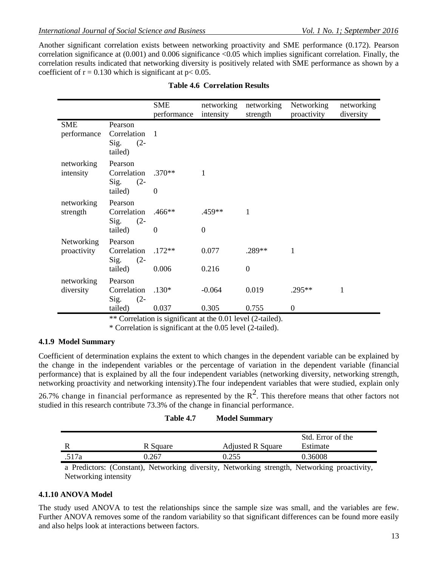Another significant correlation exists between networking proactivity and SME performance (0.172). Pearson correlation significance at (0.001) and 0.006 significance <0.05 which implies significant correlation. Finally, the correlation results indicated that networking diversity is positively related with SME performance as shown by a coefficient of  $r = 0.130$  which is significant at  $p < 0.05$ .

| Pearson                                             |                      |                               | strength                 | proactivity | diversity        |
|-----------------------------------------------------|----------------------|-------------------------------|--------------------------|-------------|------------------|
| Correlation 1<br>Sig.<br>$(2 -$<br>tailed)          |                      |                               |                          |             |                  |
| Pearson<br>Correlation<br>$Sig.$ (2-<br>tailed)     | $\theta$             | 1                             |                          |             |                  |
| Pearson<br>Correlation<br>Sig.<br>$(2 -$<br>tailed) | $.466**$<br>$\theta$ | .459**<br>$\overline{0}$      | 1                        |             |                  |
| Pearson<br>Correlation<br>Sig.<br>$(2 -$<br>tailed) | 0.006                | 0.077<br>0.216                | .289**<br>$\overline{0}$ | 1           |                  |
| Pearson<br>Correlation<br>Sig.<br>$(2 -$            | $.130*$              | $-0.064$                      | 0.019                    | .295**      | 1                |
|                                                     | tailed)              | $.370**$<br>$.172**$<br>0.037 | 0.305                    | 0.755       | $\boldsymbol{0}$ |

#### **Table 4.6 Correlation Results**

\*\* Correlation is significant at the 0.01 level (2-tailed).

\* Correlation is significant at the 0.05 level (2-tailed).

# **4.1.9 Model Summary**

Coefficient of determination explains the extent to which changes in the dependent variable can be explained by the change in the independent variables or the percentage of variation in the dependent variable (financial performance) that is explained by all the four independent variables (networking diversity, networking strength, networking proactivity and networking intensity).The four independent variables that were studied, explain only

26.7% change in financial performance as represented by the  $R^2$ . This therefore means that other factors not studied in this research contribute 73.3% of the change in financial performance.

|       |          |                          | Std. Error of the |
|-------|----------|--------------------------|-------------------|
|       | R Square | <b>Adjusted R Square</b> | Estimate          |
| .517a | 0.267    | ገ 255                    | 0.36008           |

a Predictors: (Constant), Networking diversity, Networking strength, Networking proactivity, Networking intensity

# **4.1.10 ANOVA Model**

The study used ANOVA to test the relationships since the sample size was small, and the variables are few. Further ANOVA removes some of the random variability so that significant differences can be found more easily and also helps look at interactions between factors.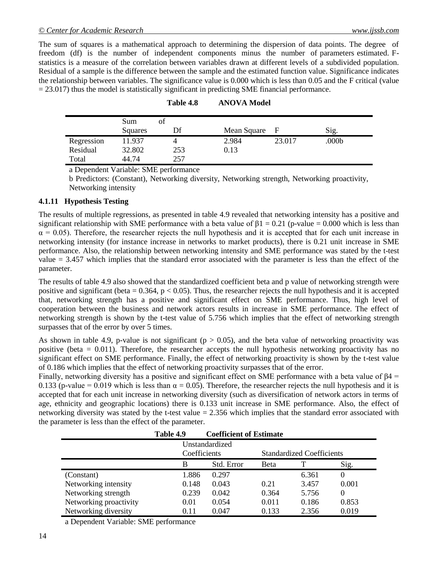The sum of squares is a mathematical approach to determining the dispersion of data points. The degree of freedom (df) is the number of independent components minus the number of parameters estimated. Fstatistics is a measure of the correlation between variables drawn at different levels of a subdivided population. Residual of a sample is the difference between the sample and the estimated function value. Significance indicates the relationship between variables. The significance value is 0.000 which is less than 0.05 and the F critical (value  $= 23.017$ ) thus the model is statistically significant in predicting SME financial performance.

|            | Sum<br>ΟÌ<br>Squares | Df  | Mean Square |        | Sig.  |
|------------|----------------------|-----|-------------|--------|-------|
| Regression | 11.937               |     | 2.984       | 23.017 | .000b |
| Residual   | 32.802               | 253 | 0.13        |        |       |
| Total      | 44.74                | 257 |             |        |       |

a Dependent Variable: SME performance

b Predictors: (Constant), Networking diversity, Networking strength, Networking proactivity, Networking intensity

## **4.1.11 Hypothesis Testing**

The results of multiple regressions, as presented in table 4.9 revealed that networking intensity has a positive and significant relationship with SME performance with a beta value of  $\beta$ 1 = 0.21 (p-value = 0.000 which is less than  $\alpha$  = 0.05). Therefore, the researcher rejects the null hypothesis and it is accepted that for each unit increase in networking intensity (for instance increase in networks to market products), there is 0.21 unit increase in SME performance. Also, the relationship between networking intensity and SME performance was stated by the t-test value = 3.457 which implies that the standard error associated with the parameter is less than the effect of the parameter.

The results of table 4.9 also showed that the standardized coefficient beta and p value of networking strength were positive and significant (beta =  $0.364$ , p <  $0.05$ ). Thus, the researcher rejects the null hypothesis and it is accepted that, networking strength has a positive and significant effect on SME performance. Thus, high level of cooperation between the business and network actors results in increase in SME performance. The effect of networking strength is shown by the t-test value of 5.756 which implies that the effect of networking strength surpasses that of the error by over 5 times.

As shown in table 4.9, p-value is not significant ( $p > 0.05$ ), and the beta value of networking proactivity was positive (beta  $= 0.011$ ). Therefore, the researcher accepts the null hypothesis networking proactivity has no significant effect on SME performance. Finally, the effect of networking proactivity is shown by the t-test value of 0.186 which implies that the effect of networking proactivity surpasses that of the error.

Finally, networking diversity has a positive and significant effect on SME performance with a beta value of β4 = 0.133 (p-value = 0.019 which is less than  $\alpha$  = 0.05). Therefore, the researcher rejects the null hypothesis and it is accepted that for each unit increase in networking diversity (such as diversification of network actors in terms of age, ethnicity and geographic locations) there is 0.133 unit increase in SME performance. Also, the effect of networking diversity was stated by the t-test value = 2.356 which implies that the standard error associated with the parameter is less than the effect of the parameter.

|                        | Table 4.9      | <b>Coefficient of Estimate</b> |             |                                  |          |  |  |  |
|------------------------|----------------|--------------------------------|-------------|----------------------------------|----------|--|--|--|
|                        | Unstandardized |                                |             |                                  |          |  |  |  |
|                        | Coefficients   |                                |             | <b>Standardized Coefficients</b> |          |  |  |  |
|                        | B              | Std. Error                     | <b>Beta</b> | т                                | Sig.     |  |  |  |
| (Constant)             | 1.886          | 0.297                          |             | 6.361                            |          |  |  |  |
| Networking intensity   | 0.148          | 0.043                          | 0.21        | 3.457                            | 0.001    |  |  |  |
| Networking strength    | 0.239          | 0.042                          | 0.364       | 5.756                            | $\Omega$ |  |  |  |
| Networking proactivity | 0.01           | 0.054                          | 0.011       | 0.186                            | 0.853    |  |  |  |
| Networking diversity   | 0.11           | 0.047                          | 0.133       | 2.356                            | 0.019    |  |  |  |

a Dependent Variable: SME performance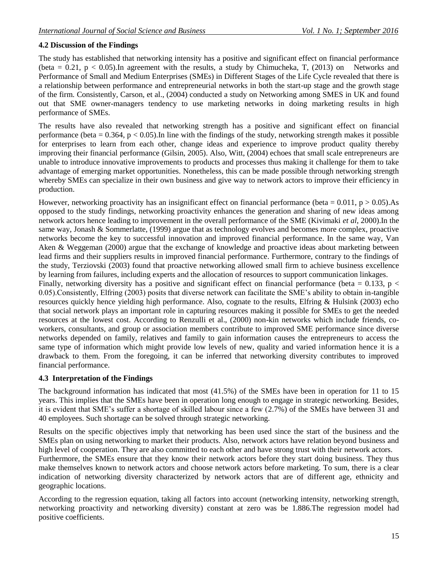# **4.2 Discussion of the Findings**

The study has established that networking intensity has a positive and significant effect on financial performance (beta = 0.21,  $p < 0.05$ ). In agreement with the results, a study by Chimucheka, T, (2013) on Networks and Performance of Small and Medium Enterprises (SMEs) in Different Stages of the Life Cycle revealed that there is a relationship between performance and entrepreneurial networks in both the start-up stage and the growth stage of the firm. Consistently, Carson, et al., (2004) conducted a study on Networking among SMES in UK and found out that SME owner-managers tendency to use marketing networks in doing marketing results in high performance of SMEs.

The results have also revealed that networking strength has a positive and significant effect on financial performance (beta =  $0.364$ , p <  $0.05$ ). In line with the findings of the study, networking strength makes it possible for enterprises to learn from each other, change ideas and experience to improve product quality thereby improving their financial performance (Gilsin, 2005). Also, Witt, (2004) echoes that small scale entrepreneurs are unable to introduce innovative improvements to products and processes thus making it challenge for them to take advantage of emerging market opportunities. Nonetheless, this can be made possible through networking strength whereby SMEs can specialize in their own business and give way to network actors to improve their efficiency in production.

However, networking proactivity has an insignificant effect on financial performance (beta =  $0.011$ , p  $> 0.05$ ). As opposed to the study findings, networking proactivity enhances the generation and sharing of new ideas among network actors hence leading to improvement in the overall performance of the SME (Kivimaki *et al*, 2000).In the same way, Jonash & Sommerlatte, (1999) argue that as technology evolves and becomes more complex, proactive networks become the key to successful innovation and improved financial performance. In the same way, Van Aken & Weggeman (2000) argue that the exchange of knowledge and proactive ideas about marketing between lead firms and their suppliers results in improved financial performance. Furthermore, contrary to the findings of the study, Terziovski (2003) found that proactive networking allowed small firm to achieve business excellence by learning from failures, including experts and the allocation of resources to support communication linkages.

Finally, networking diversity has a positive and significant effect on financial performance (beta =  $0.133$ , p < 0.05).Consistently, Elfring (2003) posits that diverse network can facilitate the SME's ability to obtain in-tangible resources quickly hence yielding high performance. Also, cognate to the results, Elfring & Hulsink (2003) echo that social network plays an important role in capturing resources making it possible for SMEs to get the needed resources at the lowest cost. According to Renzulli et al., (2000) non-kin networks which include friends, coworkers, consultants, and group or association members contribute to improved SME performance since diverse networks depended on family, relatives and family to gain information causes the entrepreneurs to access the same type of information which might provide low levels of new, quality and varied information hence it is a drawback to them. From the foregoing, it can be inferred that networking diversity contributes to improved financial performance.

# **4.3 Interpretation of the Findings**

The background information has indicated that most (41.5%) of the SMEs have been in operation for 11 to 15 years. This implies that the SMEs have been in operation long enough to engage in strategic networking. Besides, it is evident that SME's suffer a shortage of skilled labour since a few (2.7%) of the SMEs have between 31 and 40 employees. Such shortage can be solved through strategic networking.

Results on the specific objectives imply that networking has been used since the start of the business and the SMEs plan on using networking to market their products. Also, network actors have relation beyond business and high level of cooperation. They are also committed to each other and have strong trust with their network actors.

Furthermore, the SMEs ensure that they know their network actors before they start doing business. They thus make themselves known to network actors and choose network actors before marketing. To sum, there is a clear indication of networking diversity characterized by network actors that are of different age, ethnicity and geographic locations.

According to the regression equation, taking all factors into account (networking intensity, networking strength, networking proactivity and networking diversity) constant at zero was be 1.886.The regression model had positive coefficients.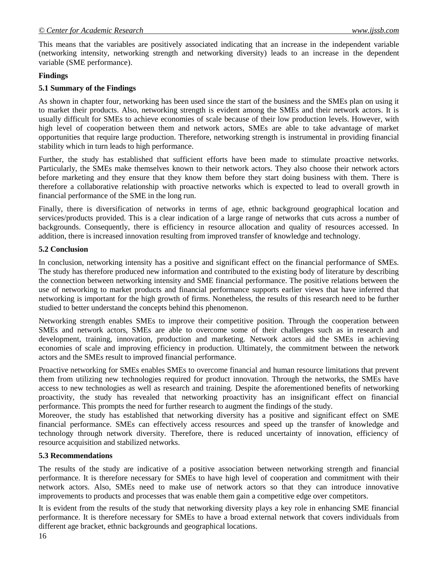This means that the variables are positively associated indicating that an increase in the independent variable (networking intensity, networking strength and networking diversity) leads to an increase in the dependent variable (SME performance).

## **Findings**

## **5.1 Summary of the Findings**

As shown in chapter four, networking has been used since the start of the business and the SMEs plan on using it to market their products. Also, networking strength is evident among the SMEs and their network actors. It is usually difficult for SMEs to achieve economies of scale because of their low production levels. However, with high level of cooperation between them and network actors, SMEs are able to take advantage of market opportunities that require large production. Therefore, networking strength is instrumental in providing financial stability which in turn leads to high performance.

Further, the study has established that sufficient efforts have been made to stimulate proactive networks. Particularly, the SMEs make themselves known to their network actors. They also choose their network actors before marketing and they ensure that they know them before they start doing business with them. There is therefore a collaborative relationship with proactive networks which is expected to lead to overall growth in financial performance of the SME in the long run.

Finally, there is diversification of networks in terms of age, ethnic background geographical location and services/products provided. This is a clear indication of a large range of networks that cuts across a number of backgrounds. Consequently, there is efficiency in resource allocation and quality of resources accessed. In addition, there is increased innovation resulting from improved transfer of knowledge and technology.

#### **5.2 Conclusion**

In conclusion, networking intensity has a positive and significant effect on the financial performance of SMEs. The study has therefore produced new information and contributed to the existing body of literature by describing the connection between networking intensity and SME financial performance. The positive relations between the use of networking to market products and financial performance supports earlier views that have inferred that networking is important for the high growth of firms. Nonetheless, the results of this research need to be further studied to better understand the concepts behind this phenomenon.

Networking strength enables SMEs to improve their competitive position. Through the cooperation between SMEs and network actors, SMEs are able to overcome some of their challenges such as in research and development, training, innovation, production and marketing. Network actors aid the SMEs in achieving economies of scale and improving efficiency in production. Ultimately, the commitment between the network actors and the SMEs result to improved financial performance.

Proactive networking for SMEs enables SMEs to overcome financial and human resource limitations that prevent them from utilizing new technologies required for product innovation. Through the networks, the SMEs have access to new technologies as well as research and training. Despite the aforementioned benefits of networking proactivity, the study has revealed that networking proactivity has an insignificant effect on financial performance. This prompts the need for further research to augment the findings of the study.

Moreover, the study has established that networking diversity has a positive and significant effect on SME financial performance. SMEs can effectively access resources and speed up the transfer of knowledge and technology through network diversity. Therefore, there is reduced uncertainty of innovation, efficiency of resource acquisition and stabilized networks.

#### **5.3 Recommendations**

The results of the study are indicative of a positive association between networking strength and financial performance. It is therefore necessary for SMEs to have high level of cooperation and commitment with their network actors. Also, SMEs need to make use of network actors so that they can introduce innovative improvements to products and processes that was enable them gain a competitive edge over competitors.

It is evident from the results of the study that networking diversity plays a key role in enhancing SME financial performance. It is therefore necessary for SMEs to have a broad external network that covers individuals from different age bracket, ethnic backgrounds and geographical locations.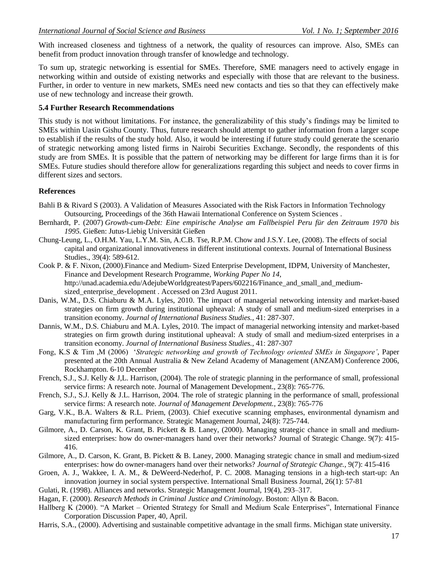With increased closeness and tightness of a network, the quality of resources can improve. Also, SMEs can benefit from product innovation through transfer of knowledge and technology.

To sum up, strategic networking is essential for SMEs. Therefore, SME managers need to actively engage in networking within and outside of existing networks and especially with those that are relevant to the business. Further, in order to venture in new markets, SMEs need new contacts and ties so that they can effectively make use of new technology and increase their growth.

## **5.4 Further Research Recommendations**

This study is not without limitations. For instance, the generalizability of this study's findings may be limited to SMEs within Uasin Gishu County. Thus, future research should attempt to gather information from a larger scope to establish if the results of the study hold. Also, it would be interesting if future study could generate the scenario of strategic networking among listed firms in Nairobi Securities Exchange. Secondly, the respondents of this study are from SMEs. It is possible that the pattern of networking may be different for large firms than it is for SMEs. Future studies should therefore allow for generalizations regarding this subject and needs to cover firms in different sizes and sectors.

## **References**

Bahli B & Rivard S (2003). A Validation of Measures Associated with the Risk Factors in Information Technology Outsourcing, Proceedings of the 36th Hawaii International Conference on System Sciences .

- Bernhardt, P. (2007) *Growth-cum-Debt: Eine empirische Analyse am Fallbeispiel Peru für den Zeitraum 1970 bis 1995.* Gießen: Jutus-Liebig Universität Gießen
- Chung-Leung, L., O.H.M. Yau, L.Y.M. Sin, A.C.B. Tse, R.P.M. Chow and J.S.Y. Lee, (2008). The effects of social capital and organizational innovativeness in different institutional contexts. Journal of International Business Studies., 39(4): 589-612.
- Cook P. & F. Nixon, (2000).Finance and Medium- Sized Enterprise Development, IDPM, University of Manchester, Finance and Development Research Programme, *Working Paper No 14,*  [http://unad.academia.edu/AdejubeWorldgreatest/Papers/602216/Finance\\_and\\_small\\_and\\_medium](http://unad.academia.edu/AdejubeWorldgreatest/Papers/602216/Finance_and_small_and_medium-sized_enterprise_development)[sized\\_enterprise\\_development](http://unad.academia.edu/AdejubeWorldgreatest/Papers/602216/Finance_and_small_and_medium-sized_enterprise_development) . Accessed on 23rd August 2011.
- Danis, W.M., D.S. Chiaburu & M.A. Lyles, 2010. The impact of managerial networking intensity and market-based strategies on firm growth during institutional upheaval: A study of small and medium-sized enterprises in a transition economy. *Journal of International Business Studies.,* 41: 287-307.
- Dannis, W.M., D.S. Chiaburu and M.A. Lyles, 2010. The impact of managerial networking intensity and market-based strategies on firm growth during institutional upheaval: A study of small and medium-sized enterprises in a transition economy. *Journal of International Business Studies.,* 41: 287-307
- Fong, K.S & Tim ,M (2006) '*Strategic networking and growth of Technology oriented SMEs in Singapore'*, Paper presented at the 20th Annual Australia & New Zeland Academy of Management (ANZAM) Conference 2006, Rockhampton. 6-10 December
- French, S.J., S.J. Kelly & J,L. Harrison, (2004). The role of strategic planning in the performance of small, professional service firms: A research note. Journal of Management Development., 23(8): 765-776.
- French, S.J., S.J. Kelly & J.L. Harrison, 2004. The role of strategic planning in the performance of small, professional service firms: A research note. *Journal of Management Development.,* 23(8): 765-776
- Garg, V.K., B.A. Walters & R.L. Priem, (2003). Chief executive scanning emphases, environmental dynamism and manufacturing firm performance. Strategic Management Journal, 24(8): 725-744.
- Gilmore, A., D. Carson, K. Grant, B. Pickett & B. Laney, (2000). Managing strategic chance in small and mediumsized enterprises: how do owner-managers hand over their networks? Journal of Strategic Change. 9(7): 415- 416.
- Gilmore, A., D. Carson, K. Grant, B. Pickett & B. Laney, 2000. Managing strategic chance in small and medium-sized enterprises: how do owner-managers hand over their networks? *Journal of Strategic Change.,* 9(7): 415-416
- Groen, A. J., Wakkee, I. A. M., & DeWeerd-Nederhof, P. C. 2008. Managing tensions in a high-tech start-up: An innovation journey in social system perspective. International Small Business Journal, 26(1): 57-81
- Gulati, R. (1998). Alliances and networks. Strategic Management Journal, 19(4), 293–317.
- Hagan, F. (2000). *Research Methods in Criminal Justice and Criminology*. Boston: Allyn & Bacon.
- Hallberg K (2000). "A Market Oriented Strategy for Small and Medium Scale Enterprises", International Finance Corporation Discussion Paper*,* 40, April.
- Harris, S.A., (2000). Advertising and sustainable competitive advantage in the small firms. Michigan state university.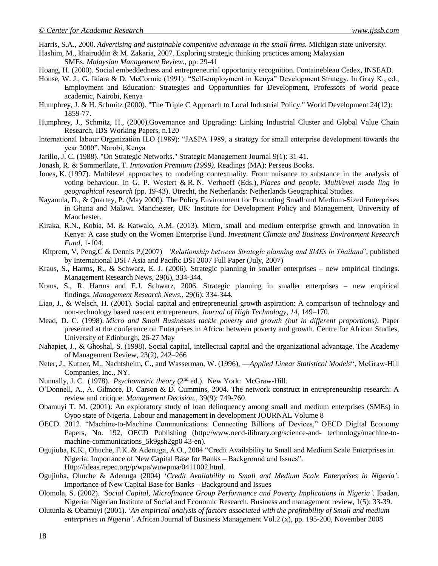Harris, S.A., 2000. *Advertising and sustainable competitive advantage in the small firms.* Michigan state university.

Hashim, M., khairuddin & M. Zakaria, 2007. Exploring strategic thinking practices among Malaysian

- SMEs. *Malaysian Management Review.*, pp: 29-41
- Hoang, H. (2000). Social embeddedness and entrepreneurial opportunity recognition. Fontainebleau Cedex, INSEAD.
- House, W. J., G. Ikiara & D. McCormic (1991): "Self-employment in Kenya" Development Strategy. In Gray K., ed., Employment and Education: Strategies and Opportunities for Development, Professors of world peace academic, Nairobi, Kenya
- Humphrey, J. & H. Schmitz (2000). "The Triple C Approach to Local Industrial Policy." World Development 24(12): 1859-77.
- Humphrey, J., Schmitz, H., (2000).Governance and Upgrading: Linking Industrial Cluster and Global Value Chain Research, IDS Working Papers, n.120
- International labour Organization ILO (1989): "JASPA 1989, a strategy for small enterprise development towards the year 2000". Narobi, Kenya
- Jarillo, J. C. (1988). "On Strategic Networks." Strategic Management Journal 9(1): 31-41.
- Jonash, R. & Sommerllate, T. *Innovation Premium (1999).* Readings (MA): Perseus Books.
- Jones, K. (1997). Multilevel approaches to modeling contextuality. From nuisance to substance in the analysis of voting behaviour. In G. P. Westert & R. N. Verhoeff (Eds.), *Places and people. Multi/evel mode ling in geographical research* (pp. 19-43). Utrecht, the Netherlands: Netherlands Geographical Studies.
- Kayanula, D., & Quartey, P. (May 2000). The Policy Environment for Promoting Small and Medium-Sized Enterprises in Ghana and Malawi. Manchester, UK: Institute for Development Policy and Management, University of Manchester.
- Kiraka, R.N., Kobia, M. & Katwalo, A.M. (2013). Micro, small and medium enterprise growth and innovation in Kenya: A case study on the Women Enterprise Fund. *Investment Climate and Business Environment Research Fund*, 1-104.
- Kitprem, V, Peng,C & Dennis P,(2007) *'Relationship between Strategic planning and SMEs in Thailand'*, published by International DSI / Asia and Pacific DSI 2007 Full Paper (July, 2007)
- Kraus, S., Harms, R., & Schwarz, E. J. (2006). Strategic planning in smaller enterprises new empirical findings. Management Research News, 29(6), 334-344.
- Kraus, S., R. Harms and E.J. Schwarz, 2006. Strategic planning in smaller enterprises new empirical findings. *Management Research News.,* 29(6): 334-344.
- Liao, J., & Welsch, H. (2001). Social capital and entrepreneurial growth aspiration: A comparison of technology and non-technology based nascent entrepreneurs. *Journal of High Technology, 14,* 149–170.
- Mead, D. C. (1998). *Micro and Small Businesses tackle poverty and growth (but in different proportions)*. Paper presented at the conference on Enterprises in Africa: between poverty and growth. Centre for African Studies, University of Edinburgh, 26-27 May
- Nahapiet, J., & Ghoshal, S. (1998). Social capital, intellectual capital and the organizational advantage. The Academy of Management Review, 23(2), 242–266
- Neter, J., Kutner, M., Nachtsheim, C., and Wasserman, W. (1996), —*Applied Linear Statistical Models*", McGraw-Hill Companies, Inc., NY.
- Nunnally, J. C. (1978). *Psychometric theory* (2nd ed.). New York: McGraw-Hill.
- O'Donnell, A., A. Gilmore, D. Carson & D. Cummins, 2004. The network construct in entrepreneurship research: A review and critique. *Management Decision.,* 39(9): 749-760.
- Obamuyi T. M. (2001): An exploratory study of loan delinquency among small and medium enterprises (SMEs) in Oyoo state of Nigeria. Labour and management in development JOURNAL Volume 8
- OECD. 2012. "Machine-to-Machine Communications: Connecting Billions of Devices," OECD Digital Economy Papers, No. 192, OECD Publishing (http://www.oecd-ilibrary.org/science-and- technology/machine-tomachine-communications 5k9gsh2gp0 43-en).
- Ogujiuba, K.K., Ohuche, F.K. & Adenuga, A.O., 2004 "Credit Availability to Small and Medium Scale Enterprises in Nigeria: Importance of New Capital Base for Banks – Background and Issues". Http://ideas.repec.org/p/wpa/wuwpma/0411002.html.
- Ogujiuba, Ohuche & Adenuga (2004) '*Credit Availability to Small and Medium Scale Enterprises in Nigeria'*: Importance of New Capital Base for Banks – Background and Issues
- Olomola, S. (2002). *'Social Capital, Microfinance Group Performance and Poverty Implications in Nigeria'*. Ibadan, Nigeria: Nigerian Institute of Social and Economic Research. Business and management review, 1(5): 33-39.
- Olutunla & Obamuyi (2001). '*An empirical analysis of factors associated with the profitability of Small and medium enterprises in Nigeria'*. African Journal of Business Management Vol.2 (x), pp. 195-200, November 2008